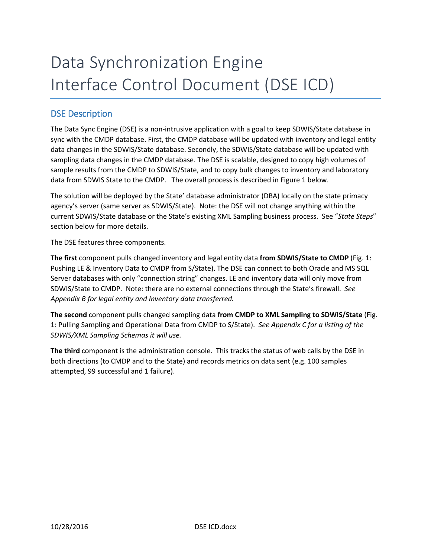# Data Synchronization Engine Interface Control Document (DSE ICD)

## DSE Description

The Data Sync Engine (DSE) is a non-intrusive application with a goal to keep SDWIS/State database in sync with the CMDP database. First, the CMDP database will be updated with inventory and legal entity data changes in the SDWIS/State database. Secondly, the SDWIS/State database will be updated with sampling data changes in the CMDP database. The DSE is scalable, designed to copy high volumes of sample results from the CMDP to SDWIS/State, and to copy bulk changes to inventory and laboratory data from SDWIS State to the CMDP. The overall process is described in Figure 1 below.

The solution will be deployed by the State' database administrator (DBA) locally on the state primacy agency's server (same server as SDWIS/State). Note: the DSE will not change anything within the current SDWIS/State database or the State's existing XML Sampling business process. See "*State Steps*" section below for more details.

The DSE features three components.

**The first** component pulls changed inventory and legal entity data **from SDWIS/State to CMDP** (Fig. 1: Pushing LE & Inventory Data to CMDP from S/State). The DSE can connect to both Oracle and MS SQL Server databases with only "connection string" changes. LE and inventory data will only move from SDWIS/State to CMDP. Note: there are no external connections through the State's firewall. *See Appendix B for legal entity and Inventory data transferred.*

**The second** component pulls changed sampling data **from CMDP to XML Sampling to SDWIS/State** (Fig. 1: Pulling Sampling and Operational Data from CMDP to S/State). *See Appendix C for a listing of the SDWIS/XML Sampling Schemas it will use.*

**The third** component is the administration console. This tracks the status of web calls by the DSE in both directions (to CMDP and to the State) and records metrics on data sent (e.g. 100 samples attempted, 99 successful and 1 failure).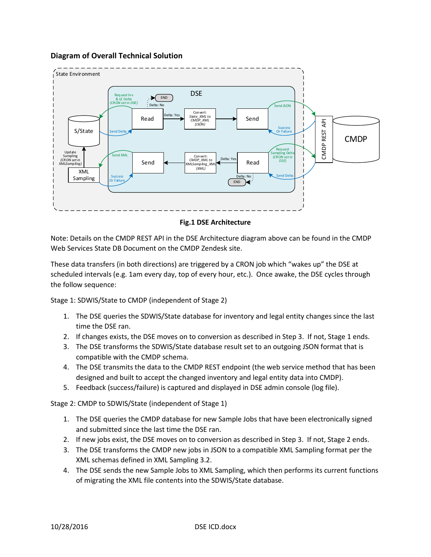#### **Diagram of Overall Technical Solution**



**Fig.1 DSE Architecture**

Note: Details on the CMDP REST API in the DSE Architecture diagram above can be found in the CMDP Web Services State DB Document on the CMDP Zendesk site.

These data transfers (in both directions) are triggered by a CRON job which "wakes up" the DSE at scheduled intervals (e.g. 1am every day, top of every hour, etc.). Once awake, the DSE cycles through the follow sequence:

Stage 1: SDWIS/State to CMDP (independent of Stage 2)

- 1. The DSE queries the SDWIS/State database for inventory and legal entity changes since the last time the DSE ran.
- 2. If changes exists, the DSE moves on to conversion as described in Step 3. If not, Stage 1 ends.
- 3. The DSE transforms the SDWIS/State database result set to an outgoing JSON format that is compatible with the CMDP schema.
- 4. The DSE transmits the data to the CMDP REST endpoint (the web service method that has been designed and built to accept the changed inventory and legal entity data into CMDP).
- 5. Feedback (success/failure) is captured and displayed in DSE admin console (log file).

Stage 2: CMDP to SDWIS/State (independent of Stage 1)

- 1. The DSE queries the CMDP database for new Sample Jobs that have been electronically signed and submitted since the last time the DSE ran.
- 2. If new jobs exist, the DSE moves on to conversion as described in Step 3. If not, Stage 2 ends.
- 3. The DSE transforms the CMDP new jobs in JSON to a compatible XML Sampling format per the XML schemas defined in XML Sampling 3.2.
- 4. The DSE sends the new Sample Jobs to XML Sampling, which then performs its current functions of migrating the XML file contents into the SDWIS/State database.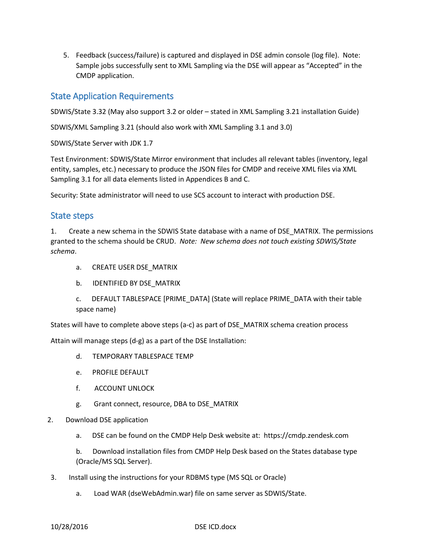5. Feedback (success/failure) is captured and displayed in DSE admin console (log file). Note: Sample jobs successfully sent to XML Sampling via the DSE will appear as "Accepted" in the CMDP application.

## State Application Requirements

SDWIS/State 3.32 (May also support 3.2 or older – stated in XML Sampling 3.21 installation Guide)

SDWIS/XML Sampling 3.21 (should also work with XML Sampling 3.1 and 3.0)

SDWIS/State Server with JDK 1.7

Test Environment: SDWIS/State Mirror environment that includes all relevant tables (inventory, legal entity, samples, etc.) necessary to produce the JSON files for CMDP and receive XML files via XML Sampling 3.1 for all data elements listed in Appendices B and C.

Security: State administrator will need to use SCS account to interact with production DSE.

#### State steps

1. Create a new schema in the SDWIS State database with a name of DSE\_MATRIX. The permissions granted to the schema should be CRUD. *Note: New schema does not touch existing SDWIS/State schema*.

- a. CREATE USER DSE\_MATRIX
- b. **IDENTIFIED BY DSE MATRIX**
- c. DEFAULT TABLESPACE [PRIME\_DATA] (State will replace PRIME\_DATA with their table space name)

States will have to complete above steps (a-c) as part of DSE\_MATRIX schema creation process

Attain will manage steps (d-g) as a part of the DSE Installation:

- d. TEMPORARY TABLESPACE TEMP
- e. PROFILE DEFAULT
- f. ACCOUNT UNLOCK
- g. Grant connect, resource, DBA to DSE\_MATRIX
- 2. Download DSE application
	- a. DSE can be found on the CMDP Help Desk website at: https://cmdp.zendesk.com

b. Download installation files from CMDP Help Desk based on the States database type (Oracle/MS SQL Server).

- 3. Install using the instructions for your RDBMS type (MS SQL or Oracle)
	- a. Load WAR (dseWebAdmin.war) file on same server as SDWIS/State.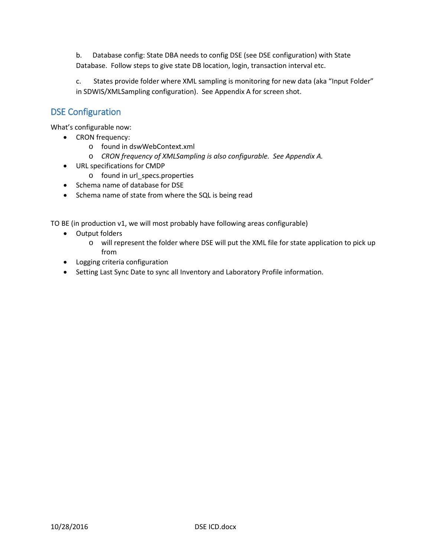b. Database config: State DBA needs to config DSE (see DSE configuration) with State Database. Follow steps to give state DB location, login, transaction interval etc.

c. States provide folder where XML sampling is monitoring for new data (aka "Input Folder" in SDWIS/XMLSampling configuration). See Appendix A for screen shot.

## DSE Configuration

What's configurable now:

- CRON frequency:
	- o found in dswWebContext.xml
	- o *CRON frequency of XMLSampling is also configurable. See Appendix A.*
- URL specifications for CMDP
	- o found in url\_specs.properties
- Schema name of database for DSE
- Schema name of state from where the SQL is being read

TO BE (in production v1, we will most probably have following areas configurable)

- Output folders
	- o will represent the folder where DSE will put the XML file for state application to pick up from
- Logging criteria configuration
- Setting Last Sync Date to sync all Inventory and Laboratory Profile information.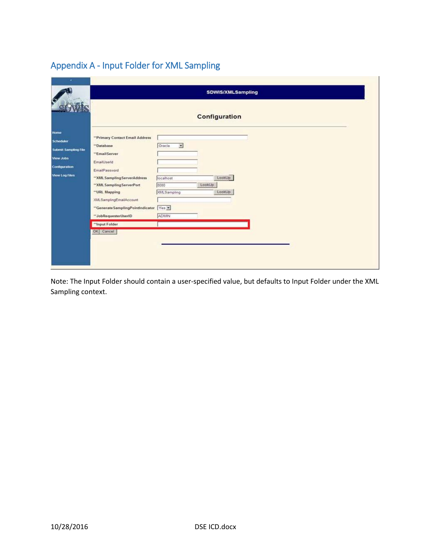# Appendix A - Input Folder for XML Sampling

| <b>SDWIS/XMLSampling</b><br>Configuration |                                    |        |                                |  |
|-------------------------------------------|------------------------------------|--------|--------------------------------|--|
|                                           |                                    |        | "Primary Contact Email Address |  |
| "Database                                 | Oracle<br>$\overline{\mathcal{L}}$ |        |                                |  |
| "EmailServer                              |                                    |        |                                |  |
| EmailUserId                               |                                    |        |                                |  |
| EmailPassword                             |                                    |        |                                |  |
| "XML Sampling ServerAddress               | localhost                          |        | LookUp                         |  |
| "XML Sampling ServerPort                  | 3080                               | LookUp |                                |  |
| "URL Mapping                              | XMLSampling                        |        | LookUp                         |  |
| XMLSamplingEmailAccount                   |                                    |        |                                |  |
| "Generate Sampling PointIndicator Yes     |                                    |        |                                |  |
| "JobRequesterUserID                       | ADMIN                              |        |                                |  |
| "Input Folder                             |                                    |        |                                |  |
| OK Cancel                                 |                                    |        |                                |  |

Note: The Input Folder should contain a user-specified value, but defaults to Input Folder under the XML Sampling context.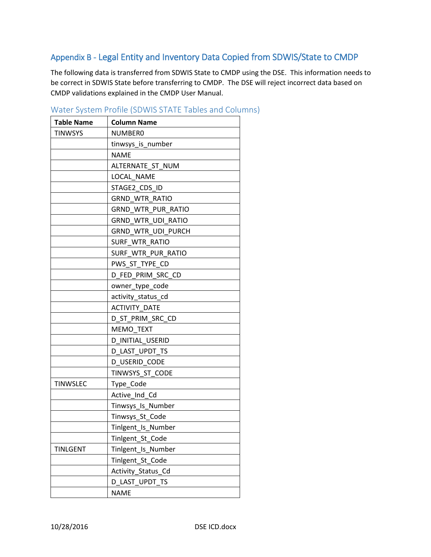## Appendix B - Legal Entity and Inventory Data Copied from SDWIS/State to CMDP

The following data is transferred from SDWIS State to CMDP using the DSE. This information needs to be correct in SDWIS State before transferring to CMDP. The DSE will reject incorrect data based on CMDP validations explained in the CMDP User Manual.

| <b>Table Name</b> | <b>Column Name</b>        |  |
|-------------------|---------------------------|--|
| <b>TINWSYS</b>    | NUMBER0                   |  |
|                   | tinwsys_is_number         |  |
|                   | NAME                      |  |
|                   | ALTERNATE_ST_NUM          |  |
|                   | LOCAL NAME                |  |
|                   | STAGE2_CDS_ID             |  |
|                   | <b>GRND WTR RATIO</b>     |  |
|                   | <b>GRND WTR PUR RATIO</b> |  |
|                   | <b>GRND WTR UDI RATIO</b> |  |
|                   | GRND_WTR_UDI_PURCH        |  |
|                   | SURF WTR RATIO            |  |
|                   | SURF WTR PUR RATIO        |  |
|                   | PWS ST TYPE CD            |  |
|                   | D FED PRIM SRC CD         |  |
|                   | owner_type_code           |  |
|                   | activity_status_cd        |  |
|                   | <b>ACTIVITY DATE</b>      |  |
|                   | D ST PRIM SRC CD          |  |
|                   | <b>MEMO TEXT</b>          |  |
|                   | D INITIAL USERID          |  |
|                   | D LAST UPDT TS            |  |
|                   | D_USERID_CODE             |  |
|                   | TINWSYS_ST_CODE           |  |
| <b>TINWSLEC</b>   | Type_Code                 |  |
|                   | Active Ind Cd             |  |
|                   | Tinwsys_Is_Number         |  |
|                   | Tinwsys_St_Code           |  |
|                   | Tinlgent_Is_Number        |  |
|                   | Tinlgent_St_Code          |  |
| <b>TINLGENT</b>   | Tinlgent Is Number        |  |
|                   | Tinlgent_St_Code          |  |
|                   | Activity_Status_Cd        |  |
|                   | D LAST UPDT TS            |  |
|                   | <b>NAME</b>               |  |

Water System Profile (SDWIS STATE Tables and Columns)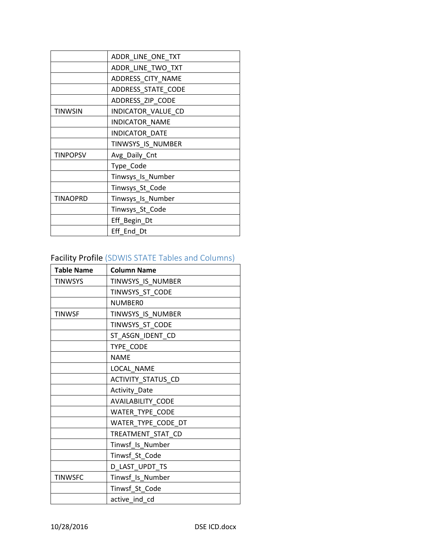|                 | ADDR_LINE_ONE_TXT     |  |  |
|-----------------|-----------------------|--|--|
|                 | ADDR_LINE_TWO_TXT     |  |  |
|                 | ADDRESS_CITY_NAME     |  |  |
|                 | ADDRESS_STATE_CODE    |  |  |
|                 | ADDRESS_ZIP_CODE      |  |  |
| <b>TINWSIN</b>  | INDICATOR_VALUE_CD    |  |  |
|                 | <b>INDICATOR NAME</b> |  |  |
|                 | INDICATOR_DATE        |  |  |
|                 | TINWSYS_IS_NUMBER     |  |  |
| <b>TINPOPSV</b> | Avg_Daily_Cnt         |  |  |
|                 | Type_Code             |  |  |
|                 | Tinwsys_Is_Number     |  |  |
|                 | Tinwsys_St_Code       |  |  |
| <b>TINAOPRD</b> | Tinwsys_Is_Number     |  |  |
|                 | Tinwsys_St_Code       |  |  |
|                 | Eff_Begin_Dt          |  |  |
|                 | Eff End Dt            |  |  |

# Facility Profile (SDWIS STATE Tables and Columns)

| <b>Table Name</b> | <b>Column Name</b> |
|-------------------|--------------------|
| <b>TINWSYS</b>    | TINWSYS_IS_NUMBER  |
|                   | TINWSYS_ST_CODE    |
|                   | <b>NUMBERO</b>     |
| <b>TINWSF</b>     | TINWSYS IS NUMBER  |
|                   | TINWSYS_ST_CODE    |
|                   | ST_ASGN_IDENT_CD   |
|                   | TYPE CODE          |
|                   | <b>NAME</b>        |
|                   | LOCAL_NAME         |
|                   | ACTIVITY_STATUS_CD |
|                   | Activity_Date      |
|                   | AVAILABILITY_CODE  |
|                   | WATER_TYPE_CODE    |
|                   | WATER_TYPE_CODE_DT |
|                   | TREATMENT_STAT_CD  |
|                   | Tinwsf Is Number   |
|                   | Tinwsf_St_Code     |
|                   | D_LAST_UPDT_TS     |
| <b>TINWSFC</b>    | Tinwsf_Is_Number   |
|                   | Tinwsf_St_Code     |
|                   | active ind cd      |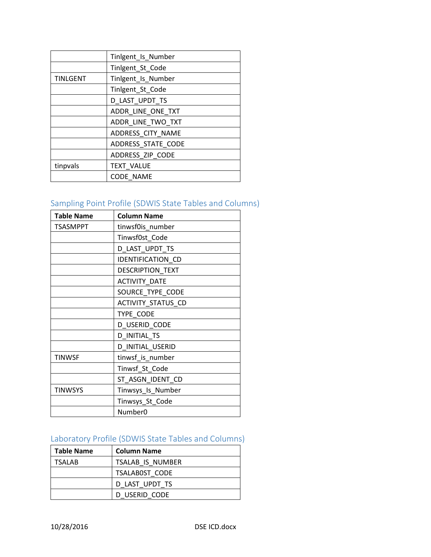|                 | Tinlgent_Is_Number |
|-----------------|--------------------|
|                 | Tinlgent_St_Code   |
| <b>TINLGENT</b> | Tinlgent_Is_Number |
|                 | Tinlgent_St_Code   |
|                 | D_LAST_UPDT_TS     |
|                 | ADDR_LINE_ONE_TXT  |
|                 | ADDR_LINE_TWO_TXT  |
|                 | ADDRESS_CITY_NAME  |
|                 | ADDRESS_STATE_CODE |
|                 | ADDRESS_ZIP_CODE   |
| tinpvals        | <b>TEXT VALUE</b>  |
|                 | <b>CODE NAME</b>   |

# Sampling Point Profile (SDWIS State Tables and Columns)

| <b>Table Name</b> | <b>Column Name</b>      |  |  |
|-------------------|-------------------------|--|--|
| <b>TSASMPPT</b>   | tinwsf0is_number        |  |  |
|                   | Tinwsf0st_Code          |  |  |
|                   | D_LAST_UPDT_TS          |  |  |
|                   | IDENTIFICATION_CD       |  |  |
|                   | <b>DESCRIPTION TEXT</b> |  |  |
|                   | <b>ACTIVITY DATE</b>    |  |  |
|                   | SOURCE_TYPE_CODE        |  |  |
|                   | ACTIVITY_STATUS_CD      |  |  |
|                   | TYPE_CODE               |  |  |
|                   | D USERID CODE           |  |  |
|                   | D INITIAL_TS            |  |  |
|                   | D_INITIAL_USERID        |  |  |
| <b>TINWSF</b>     | tinwsf_is_number        |  |  |
|                   | Tinwsf_St_Code          |  |  |
|                   | ST_ASGN_IDENT_CD        |  |  |
| TINWSYS           | Tinwsys_Is_Number       |  |  |
|                   | Tinwsys_St_Code         |  |  |
|                   | Number <sub>0</sub>     |  |  |

# Laboratory Profile (SDWIS State Tables and Columns)

| Table Name    | <b>Column Name</b>    |  |
|---------------|-----------------------|--|
| <b>TSALAB</b> | TSALAB IS NUMBER      |  |
|               | <b>TSALABOST CODE</b> |  |
|               | D LAST UPDT TS        |  |
|               | D USERID CODE         |  |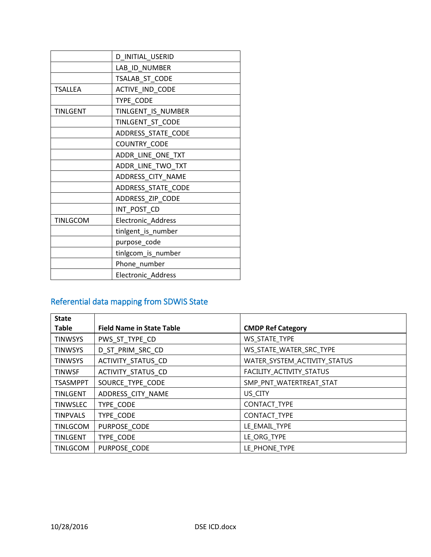|                 | D_INITIAL_USERID          |  |  |
|-----------------|---------------------------|--|--|
|                 | LAB ID NUMBER             |  |  |
|                 | TSALAB_ST_CODE            |  |  |
| <b>TSALLEA</b>  | ACTIVE_IND_CODE           |  |  |
|                 | TYPE_CODE                 |  |  |
| <b>TINLGENT</b> | TINLGENT IS NUMBER        |  |  |
|                 | TINLGENT_ST_CODE          |  |  |
|                 | ADDRESS_STATE_CODE        |  |  |
|                 | COUNTRY_CODE              |  |  |
|                 | ADDR_LINE_ONE_TXT         |  |  |
|                 | ADDR_LINE_TWO_TXT         |  |  |
|                 | ADDRESS CITY NAME         |  |  |
|                 | ADDRESS_STATE_CODE        |  |  |
|                 | ADDRESS_ZIP_CODE          |  |  |
|                 | INT_POST_CD               |  |  |
| <b>TINLGCOM</b> | Electronic_Address        |  |  |
|                 | tinlgent_is_number        |  |  |
|                 | purpose_code              |  |  |
|                 | tinlgcom_is_number        |  |  |
|                 | Phone_number              |  |  |
|                 | <b>Electronic Address</b> |  |  |

# Referential data mapping from SDWIS State

| <b>State</b>    |                                  |                              |
|-----------------|----------------------------------|------------------------------|
| <b>Table</b>    | <b>Field Name in State Table</b> | <b>CMDP Ref Category</b>     |
| <b>TINWSYS</b>  | PWS ST TYPE CD                   | WS_STATE_TYPE                |
| <b>TINWSYS</b>  | D_ST_PRIM_SRC_CD                 | WS_STATE_WATER_SRC_TYPE      |
| <b>TINWSYS</b>  | ACTIVITY_STATUS_CD               | WATER_SYSTEM_ACTIVITY_STATUS |
| <b>TINWSF</b>   | ACTIVITY_STATUS_CD               | FACILITY ACTIVITY STATUS     |
| <b>TSASMPPT</b> | SOURCE TYPE CODE                 | SMP_PNT_WATERTREAT_STAT      |
| <b>TINLGENT</b> | ADDRESS CITY NAME                | US_CITY                      |
| <b>TINWSLEC</b> | TYPE CODE                        | CONTACT_TYPE                 |
| <b>TINPVALS</b> | TYPE CODE                        | CONTACT_TYPE                 |
| <b>TINLGCOM</b> | PURPOSE CODE                     | LE_EMAIL_TYPE                |
| <b>TINLGENT</b> | TYPE CODE                        | LE_ORG_TYPE                  |
| <b>TINLGCOM</b> | PURPOSE CODE                     | LE PHONE_TYPE                |